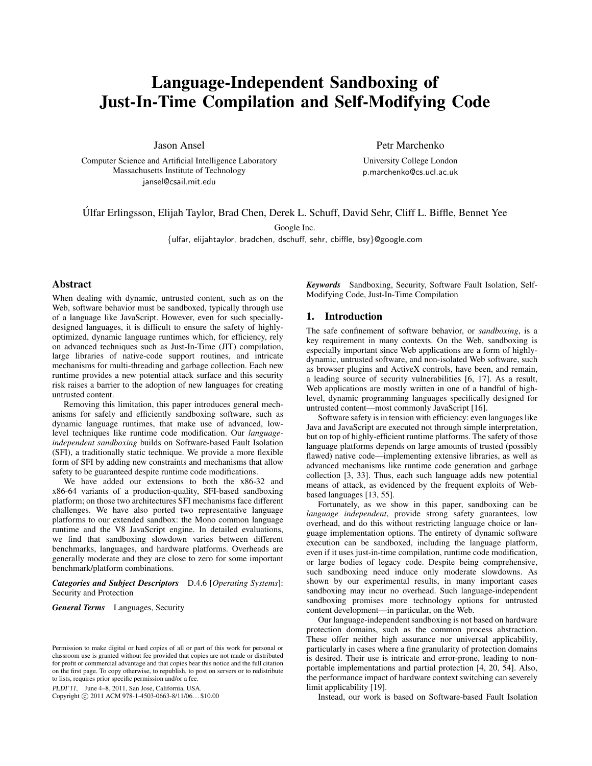# Language-Independent Sandboxing of Just-In-Time Compilation and Self-Modifying Code

Jason Ansel

Computer Science and Artificial Intelligence Laboratory Massachusetts Institute of Technology jansel@csail.mit.edu

Petr Marchenko

University College London p.marchenko@cs.ucl.ac.uk

# Ulfar Erlingsson, Elijah Taylor, Brad Chen, Derek L. Schuff, David Sehr, Cliff L. Biffle, Bennet Yee ´

Google Inc.

{ulfar, elijahtaylor, bradchen, dschuff, sehr, cbiffle, bsy}@google.com

## Abstract

When dealing with dynamic, untrusted content, such as on the Web, software behavior must be sandboxed, typically through use of a language like JavaScript. However, even for such speciallydesigned languages, it is difficult to ensure the safety of highlyoptimized, dynamic language runtimes which, for efficiency, rely on advanced techniques such as Just-In-Time (JIT) compilation, large libraries of native-code support routines, and intricate mechanisms for multi-threading and garbage collection. Each new runtime provides a new potential attack surface and this security risk raises a barrier to the adoption of new languages for creating untrusted content.

Removing this limitation, this paper introduces general mechanisms for safely and efficiently sandboxing software, such as dynamic language runtimes, that make use of advanced, lowlevel techniques like runtime code modification. Our *languageindependent sandboxing* builds on Software-based Fault Isolation (SFI), a traditionally static technique. We provide a more flexible form of SFI by adding new constraints and mechanisms that allow safety to be guaranteed despite runtime code modifications.

We have added our extensions to both the x86-32 and x86-64 variants of a production-quality, SFI-based sandboxing platform; on those two architectures SFI mechanisms face different challenges. We have also ported two representative language platforms to our extended sandbox: the Mono common language runtime and the V8 JavaScript engine. In detailed evaluations, we find that sandboxing slowdown varies between different benchmarks, languages, and hardware platforms. Overheads are generally moderate and they are close to zero for some important benchmark/platform combinations.

#### *Categories and Subject Descriptors* D.4.6 [*Operating Systems*]: Security and Protection

*General Terms* Languages, Security

PLDI'11, June 4–8, 2011, San Jose, California, USA.

Copyright © 2011 ACM 978-1-4503-0663-8/11/06... \$10.00

*Keywords* Sandboxing, Security, Software Fault Isolation, Self-Modifying Code, Just-In-Time Compilation

## 1. Introduction

The safe confinement of software behavior, or *sandboxing*, is a key requirement in many contexts. On the Web, sandboxing is especially important since Web applications are a form of highlydynamic, untrusted software, and non-isolated Web software, such as browser plugins and ActiveX controls, have been, and remain, a leading source of security vulnerabilities [6, 17]. As a result, Web applications are mostly written in one of a handful of highlevel, dynamic programming languages specifically designed for untrusted content—most commonly JavaScript [16].

Software safety is in tension with efficiency: even languages like Java and JavaScript are executed not through simple interpretation, but on top of highly-efficient runtime platforms. The safety of those language platforms depends on large amounts of trusted (possibly flawed) native code—implementing extensive libraries, as well as advanced mechanisms like runtime code generation and garbage collection [3, 33]. Thus, each such language adds new potential means of attack, as evidenced by the frequent exploits of Webbased languages [13, 55].

Fortunately, as we show in this paper, sandboxing can be *language independent*, provide strong safety guarantees, low overhead, and do this without restricting language choice or language implementation options. The entirety of dynamic software execution can be sandboxed, including the language platform, even if it uses just-in-time compilation, runtime code modification, or large bodies of legacy code. Despite being comprehensive, such sandboxing need induce only moderate slowdowns. As shown by our experimental results, in many important cases sandboxing may incur no overhead. Such language-independent sandboxing promises more technology options for untrusted content development—in particular, on the Web.

Our language-independent sandboxing is not based on hardware protection domains, such as the common process abstraction. These offer neither high assurance nor universal applicability, particularly in cases where a fine granularity of protection domains is desired. Their use is intricate and error-prone, leading to nonportable implementations and partial protection [4, 20, 54]. Also, the performance impact of hardware context switching can severely limit applicability [19].

Instead, our work is based on Software-based Fault Isolation

Permission to make digital or hard copies of all or part of this work for personal or classroom use is granted without fee provided that copies are not made or distributed for profit or commercial advantage and that copies bear this notice and the full citation on the first page. To copy otherwise, to republish, to post on servers or to redistribute to lists, requires prior specific permission and/or a fee.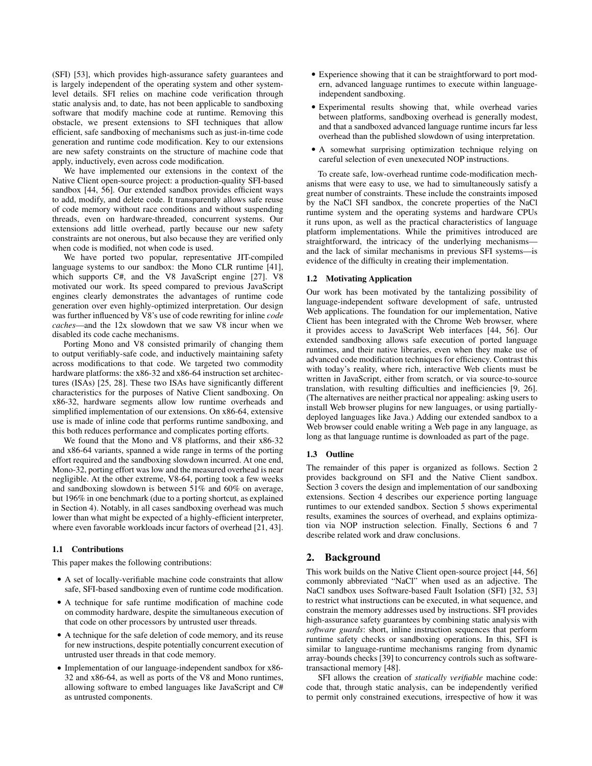(SFI) [53], which provides high-assurance safety guarantees and is largely independent of the operating system and other systemlevel details. SFI relies on machine code verification through static analysis and, to date, has not been applicable to sandboxing software that modify machine code at runtime. Removing this obstacle, we present extensions to SFI techniques that allow efficient, safe sandboxing of mechanisms such as just-in-time code generation and runtime code modification. Key to our extensions are new safety constraints on the structure of machine code that apply, inductively, even across code modification.

We have implemented our extensions in the context of the Native Client open-source project: a production-quality SFI-based sandbox [44, 56]. Our extended sandbox provides efficient ways to add, modify, and delete code. It transparently allows safe reuse of code memory without race conditions and without suspending threads, even on hardware-threaded, concurrent systems. Our extensions add little overhead, partly because our new safety constraints are not onerous, but also because they are verified only when code is modified, not when code is used.

We have ported two popular, representative JIT-compiled language systems to our sandbox: the Mono CLR runtime [41], which supports C#, and the V8 JavaScript engine [27]. V8 motivated our work. Its speed compared to previous JavaScript engines clearly demonstrates the advantages of runtime code generation over even highly-optimized interpretation. Our design was further influenced by V8's use of code rewriting for inline *code caches*—and the 12x slowdown that we saw V8 incur when we disabled its code cache mechanisms.

Porting Mono and V8 consisted primarily of changing them to output verifiably-safe code, and inductively maintaining safety across modifications to that code. We targeted two commodity hardware platforms: the x86-32 and x86-64 instruction set architectures (ISAs) [25, 28]. These two ISAs have significantly different characteristics for the purposes of Native Client sandboxing. On x86-32, hardware segments allow low runtime overheads and simplified implementation of our extensions. On x86-64, extensive use is made of inline code that performs runtime sandboxing, and this both reduces performance and complicates porting efforts.

We found that the Mono and V8 platforms, and their x86-32 and x86-64 variants, spanned a wide range in terms of the porting effort required and the sandboxing slowdown incurred. At one end, Mono-32, porting effort was low and the measured overhead is near negligible. At the other extreme, V8-64, porting took a few weeks and sandboxing slowdown is between 51% and 60% on average, but 196% in one benchmark (due to a porting shortcut, as explained in Section 4). Notably, in all cases sandboxing overhead was much lower than what might be expected of a highly-efficient interpreter, where even favorable workloads incur factors of overhead [21, 43].

#### 1.1 Contributions

This paper makes the following contributions:

- A set of locally-verifiable machine code constraints that allow safe, SFI-based sandboxing even of runtime code modification.
- A technique for safe runtime modification of machine code on commodity hardware, despite the simultaneous execution of that code on other processors by untrusted user threads.
- A technique for the safe deletion of code memory, and its reuse for new instructions, despite potentially concurrent execution of untrusted user threads in that code memory.
- Implementation of our language-independent sandbox for x86- 32 and x86-64, as well as ports of the V8 and Mono runtimes, allowing software to embed languages like JavaScript and C# as untrusted components.
- Experience showing that it can be straightforward to port modern, advanced language runtimes to execute within languageindependent sandboxing.
- Experimental results showing that, while overhead varies between platforms, sandboxing overhead is generally modest, and that a sandboxed advanced language runtime incurs far less overhead than the published slowdown of using interpretation.
- A somewhat surprising optimization technique relying on careful selection of even unexecuted NOP instructions.

To create safe, low-overhead runtime code-modification mechanisms that were easy to use, we had to simultaneously satisfy a great number of constraints. These include the constraints imposed by the NaCl SFI sandbox, the concrete properties of the NaCl runtime system and the operating systems and hardware CPUs it runs upon, as well as the practical characteristics of language platform implementations. While the primitives introduced are straightforward, the intricacy of the underlying mechanisms and the lack of similar mechanisms in previous SFI systems—is evidence of the difficulty in creating their implementation.

#### 1.2 Motivating Application

Our work has been motivated by the tantalizing possibility of language-independent software development of safe, untrusted Web applications. The foundation for our implementation, Native Client has been integrated with the Chrome Web browser, where it provides access to JavaScript Web interfaces [44, 56]. Our extended sandboxing allows safe execution of ported language runtimes, and their native libraries, even when they make use of advanced code modification techniques for efficiency. Contrast this with today's reality, where rich, interactive Web clients must be written in JavaScript, either from scratch, or via source-to-source translation, with resulting difficulties and inefficiencies [9, 26]. (The alternatives are neither practical nor appealing: asking users to install Web browser plugins for new languages, or using partiallydeployed languages like Java.) Adding our extended sandbox to a Web browser could enable writing a Web page in any language, as long as that language runtime is downloaded as part of the page.

#### 1.3 Outline

The remainder of this paper is organized as follows. Section 2 provides background on SFI and the Native Client sandbox. Section 3 covers the design and implementation of our sandboxing extensions. Section 4 describes our experience porting language runtimes to our extended sandbox. Section 5 shows experimental results, examines the sources of overhead, and explains optimization via NOP instruction selection. Finally, Sections 6 and 7 describe related work and draw conclusions.

# 2. Background

This work builds on the Native Client open-source project [44, 56] commonly abbreviated "NaCl" when used as an adjective. The NaCl sandbox uses Software-based Fault Isolation (SFI) [32, 53] to restrict what instructions can be executed, in what sequence, and constrain the memory addresses used by instructions. SFI provides high-assurance safety guarantees by combining static analysis with *software guards*: short, inline instruction sequences that perform runtime safety checks or sandboxing operations. In this, SFI is similar to language-runtime mechanisms ranging from dynamic array-bounds checks [39] to concurrency controls such as softwaretransactional memory [48].

SFI allows the creation of *statically verifiable* machine code: code that, through static analysis, can be independently verified to permit only constrained executions, irrespective of how it was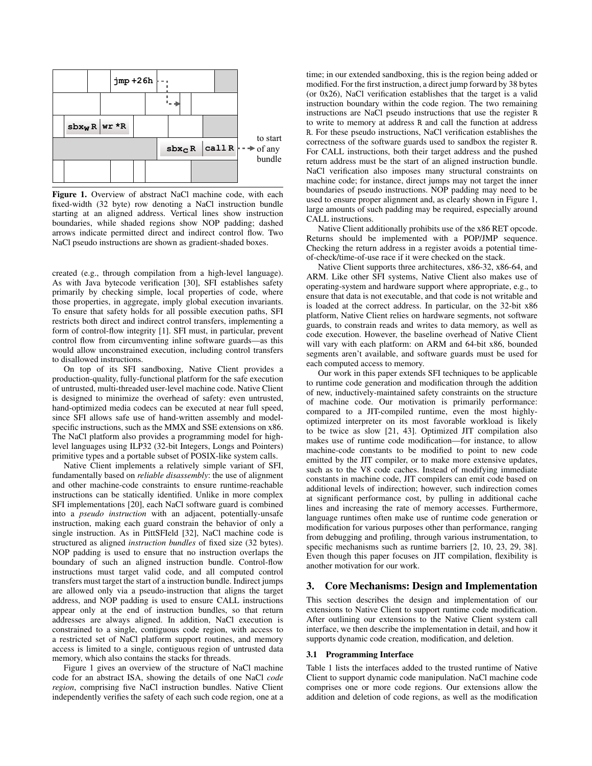

Figure 1. Overview of abstract NaCl machine code, with each fixed-width (32 byte) row denoting a NaCl instruction bundle starting at an aligned address. Vertical lines show instruction boundaries, while shaded regions show NOP padding; dashed arrows indicate permitted direct and indirect control flow. Two NaCl pseudo instructions are shown as gradient-shaded boxes.

created (e.g., through compilation from a high-level language). As with Java bytecode verification [30], SFI establishes safety primarily by checking simple, local properties of code, where those properties, in aggregate, imply global execution invariants. To ensure that safety holds for all possible execution paths, SFI restricts both direct and indirect control transfers, implementing a form of control-flow integrity [1]. SFI must, in particular, prevent control flow from circumventing inline software guards—as this would allow unconstrained execution, including control transfers to disallowed instructions.

On top of its SFI sandboxing, Native Client provides a production-quality, fully-functional platform for the safe execution of untrusted, multi-threaded user-level machine code. Native Client is designed to minimize the overhead of safety: even untrusted, hand-optimized media codecs can be executed at near full speed, since SFI allows safe use of hand-written assembly and modelspecific instructions, such as the MMX and SSE extensions on x86. The NaCl platform also provides a programming model for highlevel languages using ILP32 (32-bit Integers, Longs and Pointers) primitive types and a portable subset of POSIX-like system calls.

Native Client implements a relatively simple variant of SFI, fundamentally based on *reliable disassembly*: the use of alignment and other machine-code constraints to ensure runtime-reachable instructions can be statically identified. Unlike in more complex SFI implementations [20], each NaCl software guard is combined into a *pseudo instruction* with an adjacent, potentially-unsafe instruction, making each guard constrain the behavior of only a single instruction. As in PittSFIeld [32], NaCl machine code is structured as aligned *instruction bundles* of fixed size (32 bytes). NOP padding is used to ensure that no instruction overlaps the boundary of such an aligned instruction bundle. Control-flow instructions must target valid code, and all computed control transfers must target the start of a instruction bundle. Indirect jumps are allowed only via a pseudo-instruction that aligns the target address, and NOP padding is used to ensure CALL instructions appear only at the end of instruction bundles, so that return addresses are always aligned. In addition, NaCl execution is constrained to a single, contiguous code region, with access to a restricted set of NaCl platform support routines, and memory access is limited to a single, contiguous region of untrusted data memory, which also contains the stacks for threads.

Figure 1 gives an overview of the structure of NaCl machine code for an abstract ISA, showing the details of one NaCl *code region*, comprising five NaCl instruction bundles. Native Client independently verifies the safety of each such code region, one at a time; in our extended sandboxing, this is the region being added or modified. For the first instruction, a direct jump forward by 38 bytes (or 0x26), NaCl verification establishes that the target is a valid instruction boundary within the code region. The two remaining instructions are NaCl pseudo instructions that use the register R to write to memory at address R and call the function at address R. For these pseudo instructions, NaCl verification establishes the correctness of the software guards used to sandbox the register R. For CALL instructions, both their target address and the pushed return address must be the start of an aligned instruction bundle. NaCl verification also imposes many structural constraints on machine code; for instance, direct jumps may not target the inner boundaries of pseudo instructions. NOP padding may need to be used to ensure proper alignment and, as clearly shown in Figure 1, large amounts of such padding may be required, especially around CALL instructions.

Native Client additionally prohibits use of the x86 RET opcode. Returns should be implemented with a POP/JMP sequence. Checking the return address in a register avoids a potential timeof-check/time-of-use race if it were checked on the stack.

Native Client supports three architectures, x86-32, x86-64, and ARM. Like other SFI systems, Native Client also makes use of operating-system and hardware support where appropriate, e.g., to ensure that data is not executable, and that code is not writable and is loaded at the correct address. In particular, on the 32-bit x86 platform, Native Client relies on hardware segments, not software guards, to constrain reads and writes to data memory, as well as code execution. However, the baseline overhead of Native Client will vary with each platform: on ARM and 64-bit x86, bounded segments aren't available, and software guards must be used for each computed access to memory.

Our work in this paper extends SFI techniques to be applicable to runtime code generation and modification through the addition of new, inductively-maintained safety constraints on the structure of machine code. Our motivation is primarily performance: compared to a JIT-compiled runtime, even the most highlyoptimized interpreter on its most favorable workload is likely to be twice as slow [21, 43]. Optimized JIT compilation also makes use of runtime code modification—for instance, to allow machine-code constants to be modified to point to new code emitted by the JIT compiler, or to make more extensive updates, such as to the V8 code caches. Instead of modifying immediate constants in machine code, JIT compilers can emit code based on additional levels of indirection; however, such indirection comes at significant performance cost, by pulling in additional cache lines and increasing the rate of memory accesses. Furthermore, language runtimes often make use of runtime code generation or modification for various purposes other than performance, ranging from debugging and profiling, through various instrumentation, to specific mechanisms such as runtime barriers [2, 10, 23, 29, 38]. Even though this paper focuses on JIT compilation, flexibility is another motivation for our work.

## 3. Core Mechanisms: Design and Implementation

This section describes the design and implementation of our extensions to Native Client to support runtime code modification. After outlining our extensions to the Native Client system call interface, we then describe the implementation in detail, and how it supports dynamic code creation, modification, and deletion.

#### 3.1 Programming Interface

Table 1 lists the interfaces added to the trusted runtime of Native Client to support dynamic code manipulation. NaCl machine code comprises one or more code regions. Our extensions allow the addition and deletion of code regions, as well as the modification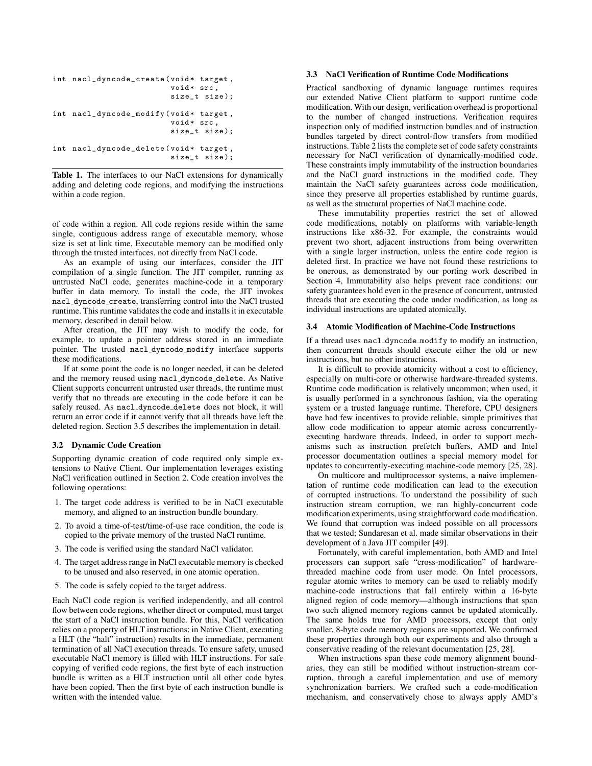```
int nacl_dyncode_create (void* target,
                         void* src,
                         size_t size );
int nacl_dyncode_modify (void* target,
                         void* src.
                         size_t size );
int nacl_dyncode_delete (void* target,
                         size t size):
```
Table 1. The interfaces to our NaCl extensions for dynamically adding and deleting code regions, and modifying the instructions within a code region.

of code within a region. All code regions reside within the same single, contiguous address range of executable memory, whose size is set at link time. Executable memory can be modified only through the trusted interfaces, not directly from NaCl code.

As an example of using our interfaces, consider the JIT compilation of a single function. The JIT compiler, running as untrusted NaCl code, generates machine-code in a temporary buffer in data memory. To install the code, the JIT invokes nacl dyncode create, transferring control into the NaCl trusted runtime. This runtime validates the code and installs it in executable memory, described in detail below.

After creation, the JIT may wish to modify the code, for example, to update a pointer address stored in an immediate pointer. The trusted nacl dyncode modify interface supports these modifications.

If at some point the code is no longer needed, it can be deleted and the memory reused using nacl dyncode delete. As Native Client supports concurrent untrusted user threads, the runtime must verify that no threads are executing in the code before it can be safely reused. As nacl\_dyncode\_delete does not block, it will return an error code if it cannot verify that all threads have left the deleted region. Section 3.5 describes the implementation in detail.

## 3.2 Dynamic Code Creation

Supporting dynamic creation of code required only simple extensions to Native Client. Our implementation leverages existing NaCl verification outlined in Section 2. Code creation involves the following operations:

- 1. The target code address is verified to be in NaCl executable memory, and aligned to an instruction bundle boundary.
- 2. To avoid a time-of-test/time-of-use race condition, the code is copied to the private memory of the trusted NaCl runtime.
- 3. The code is verified using the standard NaCl validator.
- 4. The target address range in NaCl executable memory is checked to be unused and also reserved, in one atomic operation.
- 5. The code is safely copied to the target address.

Each NaCl code region is verified independently, and all control flow between code regions, whether direct or computed, must target the start of a NaCl instruction bundle. For this, NaCl verification relies on a property of HLT instructions: in Native Client, executing a HLT (the "halt" instruction) results in the immediate, permanent termination of all NaCl execution threads. To ensure safety, unused executable NaCl memory is filled with HLT instructions. For safe copying of verified code regions, the first byte of each instruction bundle is written as a HLT instruction until all other code bytes have been copied. Then the first byte of each instruction bundle is written with the intended value.

## 3.3 NaCl Verification of Runtime Code Modifications

Practical sandboxing of dynamic language runtimes requires our extended Native Client platform to support runtime code modification. With our design, verification overhead is proportional to the number of changed instructions. Verification requires inspection only of modified instruction bundles and of instruction bundles targeted by direct control-flow transfers from modified instructions. Table 2 lists the complete set of code safety constraints necessary for NaCl verification of dynamically-modified code. These constraints imply immutability of the instruction boundaries and the NaCl guard instructions in the modified code. They maintain the NaCl safety guarantees across code modification, since they preserve all properties established by runtime guards, as well as the structural properties of NaCl machine code.

These immutability properties restrict the set of allowed code modifications, notably on platforms with variable-length instructions like x86-32. For example, the constraints would prevent two short, adjacent instructions from being overwritten with a single larger instruction, unless the entire code region is deleted first. In practice we have not found these restrictions to be onerous, as demonstrated by our porting work described in Section 4, Immutability also helps prevent race conditions: our safety guarantees hold even in the presence of concurrent, untrusted threads that are executing the code under modification, as long as individual instructions are updated atomically.

#### 3.4 Atomic Modification of Machine-Code Instructions

If a thread uses nacl dyncode modify to modify an instruction, then concurrent threads should execute either the old or new instructions, but no other instructions.

It is difficult to provide atomicity without a cost to efficiency, especially on multi-core or otherwise hardware-threaded systems. Runtime code modification is relatively uncommon; when used, it is usually performed in a synchronous fashion, via the operating system or a trusted language runtime. Therefore, CPU designers have had few incentives to provide reliable, simple primitives that allow code modification to appear atomic across concurrentlyexecuting hardware threads. Indeed, in order to support mechanisms such as instruction prefetch buffers, AMD and Intel processor documentation outlines a special memory model for updates to concurrently-executing machine-code memory [25, 28].

On multicore and multiprocessor systems, a naive implementation of runtime code modification can lead to the execution of corrupted instructions. To understand the possibility of such instruction stream corruption, we ran highly-concurrent code modification experiments, using straightforward code modification. We found that corruption was indeed possible on all processors that we tested; Sundaresan et al. made similar observations in their development of a Java JIT compiler [49].

Fortunately, with careful implementation, both AMD and Intel processors can support safe "cross-modification" of hardwarethreaded machine code from user mode. On Intel processors, regular atomic writes to memory can be used to reliably modify machine-code instructions that fall entirely within a 16-byte aligned region of code memory—although instructions that span two such aligned memory regions cannot be updated atomically. The same holds true for AMD processors, except that only smaller, 8-byte code memory regions are supported. We confirmed these properties through both our experiments and also through a conservative reading of the relevant documentation [25, 28].

When instructions span these code memory alignment boundaries, they can still be modified without instruction-stream corruption, through a careful implementation and use of memory synchronization barriers. We crafted such a code-modification mechanism, and conservatively chose to always apply AMD's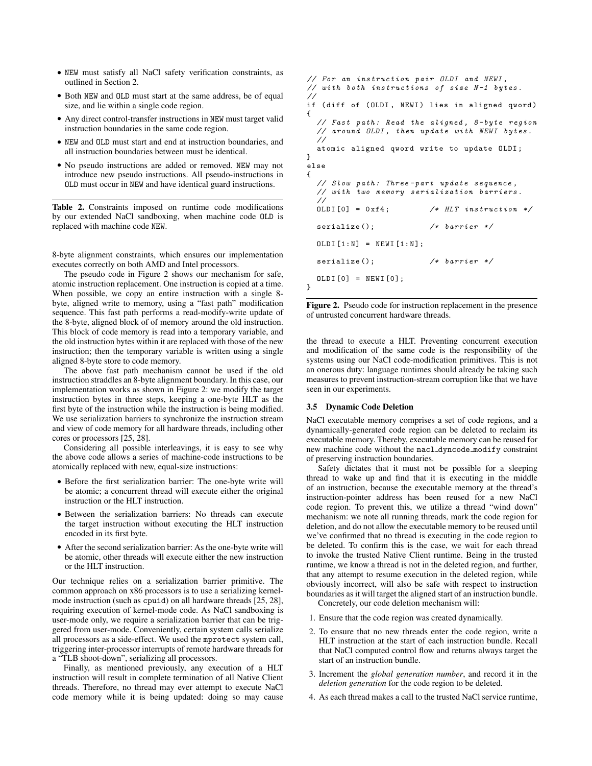- NEW must satisfy all NaCl safety verification constraints, as outlined in Section 2.
- Both NEW and OLD must start at the same address, be of equal size, and lie within a single code region.
- Any direct control-transfer instructions in NEW must target valid instruction boundaries in the same code region.
- NEW and OLD must start and end at instruction boundaries, and all instruction boundaries between must be identical.
- No pseudo instructions are added or removed. NEW may not introduce new pseudo instructions. All pseudo-instructions in OLD must occur in NEW and have identical guard instructions.

Table 2. Constraints imposed on runtime code modifications by our extended NaCl sandboxing, when machine code OLD is replaced with machine code NEW.

8-byte alignment constraints, which ensures our implementation executes correctly on both AMD and Intel processors.

The pseudo code in Figure 2 shows our mechanism for safe, atomic instruction replacement. One instruction is copied at a time. When possible, we copy an entire instruction with a single 8 byte, aligned write to memory, using a "fast path" modification sequence. This fast path performs a read-modify-write update of the 8-byte, aligned block of of memory around the old instruction. This block of code memory is read into a temporary variable, and the old instruction bytes within it are replaced with those of the new instruction; then the temporary variable is written using a single aligned 8-byte store to code memory.

The above fast path mechanism cannot be used if the old instruction straddles an 8-byte alignment boundary. In this case, our implementation works as shown in Figure 2: we modify the target instruction bytes in three steps, keeping a one-byte HLT as the first byte of the instruction while the instruction is being modified. We use serialization barriers to synchronize the instruction stream and view of code memory for all hardware threads, including other cores or processors [25, 28].

Considering all possible interleavings, it is easy to see why the above code allows a series of machine-code instructions to be atomically replaced with new, equal-size instructions:

- Before the first serialization barrier: The one-byte write will be atomic; a concurrent thread will execute either the original instruction or the HLT instruction.
- Between the serialization barriers: No threads can execute the target instruction without executing the HLT instruction encoded in its first byte.
- After the second serialization barrier: As the one-byte write will be atomic, other threads will execute either the new instruction or the HLT instruction.

Our technique relies on a serialization barrier primitive. The common approach on x86 processors is to use a serializing kernelmode instruction (such as cpuid) on all hardware threads [25, 28], requiring execution of kernel-mode code. As NaCl sandboxing is user-mode only, we require a serialization barrier that can be triggered from user-mode. Conveniently, certain system calls serialize all processors as a side-effect. We used the mprotect system call, triggering inter-processor interrupts of remote hardware threads for a "TLB shoot-down", serializing all processors.

Finally, as mentioned previously, any execution of a HLT instruction will result in complete termination of all Native Client threads. Therefore, no thread may ever attempt to execute NaCl code memory while it is being updated: doing so may cause

```
// For an instruction pair OLDI and NEWI ,
\frac{1}{\sqrt{2}} with both instructions of size N-1 bytes.
//
if (diff of (OLDI, NEWI) lies in aligned qword)
{
  // Fast path: Read the aligned, 8-byte region
  // around OLDI , then update with NEWI bytes .
  //
  atomic aligned qword write to update OLDI ;
}
else
{
  // Slow path : Three - part update sequence ,
  // with two memory serialization barriers.
  //<br>OLDI[0] = 0xf4;
                           /* HLT instruction */serialize(); \frac{1}{2} /* barrier */
  OLDI [1:N] = NEWI [1:N];
  serialize(); /* barrier */
  OLDI [0] = NEWI [0];}
```
Figure 2. Pseudo code for instruction replacement in the presence of untrusted concurrent hardware threads.

the thread to execute a HLT. Preventing concurrent execution and modification of the same code is the responsibility of the systems using our NaCl code-modification primitives. This is not an onerous duty: language runtimes should already be taking such measures to prevent instruction-stream corruption like that we have seen in our experiments.

#### 3.5 Dynamic Code Deletion

NaCl executable memory comprises a set of code regions, and a dynamically-generated code region can be deleted to reclaim its executable memory. Thereby, executable memory can be reused for new machine code without the nacl dyncode modify constraint of preserving instruction boundaries.

Safety dictates that it must not be possible for a sleeping thread to wake up and find that it is executing in the middle of an instruction, because the executable memory at the thread's instruction-pointer address has been reused for a new NaCl code region. To prevent this, we utilize a thread "wind down" mechanism: we note all running threads, mark the code region for deletion, and do not allow the executable memory to be reused until we've confirmed that no thread is executing in the code region to be deleted. To confirm this is the case, we wait for each thread to invoke the trusted Native Client runtime. Being in the trusted runtime, we know a thread is not in the deleted region, and further, that any attempt to resume execution in the deleted region, while obviously incorrect, will also be safe with respect to instruction boundaries as it will target the aligned start of an instruction bundle.

Concretely, our code deletion mechanism will:

- 1. Ensure that the code region was created dynamically.
- 2. To ensure that no new threads enter the code region, write a HLT instruction at the start of each instruction bundle. Recall that NaCl computed control flow and returns always target the start of an instruction bundle.
- 3. Increment the *global generation number*, and record it in the *deletion generation* for the code region to be deleted.
- 4. As each thread makes a call to the trusted NaCl service runtime,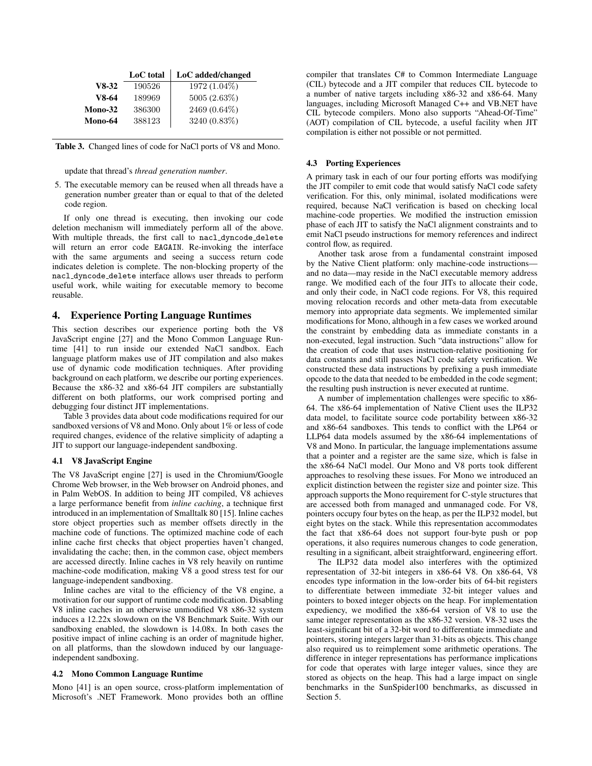| LoC total | LoC added/changed |
|-----------|-------------------|
| 190526    | 1972 (1.04\%)     |
| 189969    | $5005(2.63\%)$    |
| 386300    | 2469 (0.64\%)     |
| 388123    | 3240 (0.83%)      |
|           |                   |

Table 3. Changed lines of code for NaCl ports of V8 and Mono.

update that thread's *thread generation number*.

5. The executable memory can be reused when all threads have a generation number greater than or equal to that of the deleted code region.

If only one thread is executing, then invoking our code deletion mechanism will immediately perform all of the above. With multiple threads, the first call to nacl\_dyncode\_delete will return an error code EAGAIN. Re-invoking the interface with the same arguments and seeing a success return code indicates deletion is complete. The non-blocking property of the nacl dyncode delete interface allows user threads to perform useful work, while waiting for executable memory to become reusable.

#### 4. Experience Porting Language Runtimes

This section describes our experience porting both the V8 JavaScript engine [27] and the Mono Common Language Runtime [41] to run inside our extended NaCl sandbox. Each language platform makes use of JIT compilation and also makes use of dynamic code modification techniques. After providing background on each platform, we describe our porting experiences. Because the x86-32 and x86-64 JIT compilers are substantially different on both platforms, our work comprised porting and debugging four distinct JIT implementations.

Table 3 provides data about code modifications required for our sandboxed versions of V8 and Mono. Only about 1% or less of code required changes, evidence of the relative simplicity of adapting a JIT to support our language-independent sandboxing.

#### 4.1 V8 JavaScript Engine

The V8 JavaScript engine [27] is used in the Chromium/Google Chrome Web browser, in the Web browser on Android phones, and in Palm WebOS. In addition to being JIT compiled, V8 achieves a large performance benefit from *inline caching*, a technique first introduced in an implementation of Smalltalk 80 [15]. Inline caches store object properties such as member offsets directly in the machine code of functions. The optimized machine code of each inline cache first checks that object properties haven't changed, invalidating the cache; then, in the common case, object members are accessed directly. Inline caches in V8 rely heavily on runtime machine-code modification, making V8 a good stress test for our language-independent sandboxing.

Inline caches are vital to the efficiency of the V8 engine, a motivation for our support of runtime code modification. Disabling V8 inline caches in an otherwise unmodified V8 x86-32 system induces a 12.22x slowdown on the V8 Benchmark Suite. With our sandboxing enabled, the slowdown is 14.08x. In both cases the positive impact of inline caching is an order of magnitude higher, on all platforms, than the slowdown induced by our languageindependent sandboxing.

#### 4.2 Mono Common Language Runtime

Mono [41] is an open source, cross-platform implementation of Microsoft's .NET Framework. Mono provides both an offline compiler that translates C# to Common Intermediate Language (CIL) bytecode and a JIT compiler that reduces CIL bytecode to a number of native targets including x86-32 and x86-64. Many languages, including Microsoft Managed C++ and VB.NET have CIL bytecode compilers. Mono also supports "Ahead-Of-Time" (AOT) compilation of CIL bytecode, a useful facility when JIT compilation is either not possible or not permitted.

#### 4.3 Porting Experiences

A primary task in each of our four porting efforts was modifying the JIT compiler to emit code that would satisfy NaCl code safety verification. For this, only minimal, isolated modifications were required, because NaCl verification is based on checking local machine-code properties. We modified the instruction emission phase of each JIT to satisfy the NaCl alignment constraints and to emit NaCl pseudo instructions for memory references and indirect control flow, as required.

Another task arose from a fundamental constraint imposed by the Native Client platform: only machine-code instructions and no data—may reside in the NaCl executable memory address range. We modified each of the four JITs to allocate their code, and only their code, in NaCl code regions. For V8, this required moving relocation records and other meta-data from executable memory into appropriate data segments. We implemented similar modifications for Mono, although in a few cases we worked around the constraint by embedding data as immediate constants in a non-executed, legal instruction. Such "data instructions" allow for the creation of code that uses instruction-relative positioning for data constants and still passes NaCl code safety verification. We constructed these data instructions by prefixing a push immediate opcode to the data that needed to be embedded in the code segment; the resulting push instruction is never executed at runtime.

A number of implementation challenges were specific to x86- 64. The x86-64 implementation of Native Client uses the ILP32 data model, to facilitate source code portability between x86-32 and x86-64 sandboxes. This tends to conflict with the LP64 or LLP64 data models assumed by the x86-64 implementations of V8 and Mono. In particular, the language implementations assume that a pointer and a register are the same size, which is false in the x86-64 NaCl model. Our Mono and V8 ports took different approaches to resolving these issues. For Mono we introduced an explicit distinction between the register size and pointer size. This approach supports the Mono requirement for C-style structures that are accessed both from managed and unmanaged code. For V8, pointers occupy four bytes on the heap, as per the ILP32 model, but eight bytes on the stack. While this representation accommodates the fact that x86-64 does not support four-byte push or pop operations, it also requires numerous changes to code generation, resulting in a significant, albeit straightforward, engineering effort.

The ILP32 data model also interferes with the optimized representation of 32-bit integers in x86-64 V8. On x86-64, V8 encodes type information in the low-order bits of 64-bit registers to differentiate between immediate 32-bit integer values and pointers to boxed integer objects on the heap. For implementation expediency, we modified the x86-64 version of V8 to use the same integer representation as the x86-32 version. V8-32 uses the least-significant bit of a 32-bit word to differentiate immediate and pointers, storing integers larger than 31-bits as objects. This change also required us to reimplement some arithmetic operations. The difference in integer representations has performance implications for code that operates with large integer values, since they are stored as objects on the heap. This had a large impact on single benchmarks in the SunSpider100 benchmarks, as discussed in Section 5.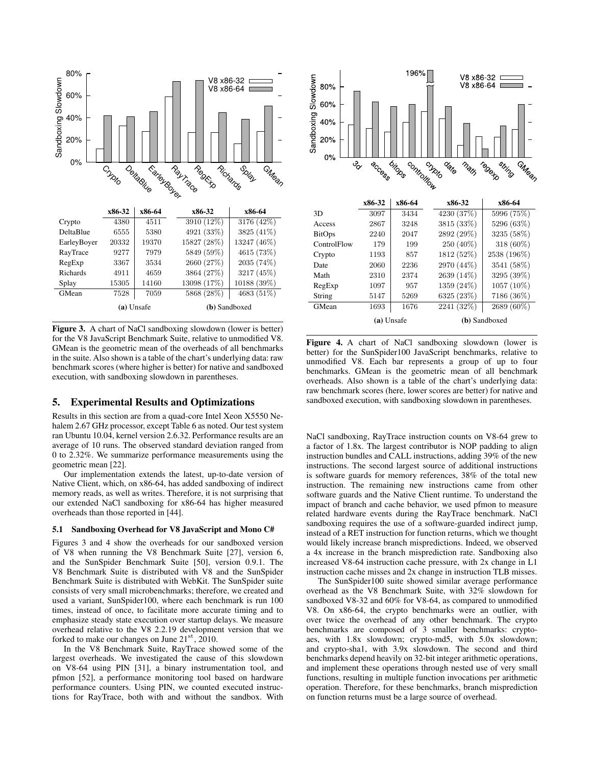

Figure 3. A chart of NaCl sandboxing slowdown (lower is better) for the V8 JavaScript Benchmark Suite, relative to unmodified V8. GMean is the geometric mean of the overheads of all benchmarks in the suite. Also shown is a table of the chart's underlying data: raw benchmark scores (where higher is better) for native and sandboxed execution, with sandboxing slowdown in parentheses.

## 5. Experimental Results and Optimizations

Results in this section are from a quad-core Intel Xeon X5550 Nehalem 2.67 GHz processor, except Table 6 as noted. Our test system ran Ubuntu 10.04, kernel version 2.6.32. Performance results are an average of 10 runs. The observed standard deviation ranged from 0 to 2.32%. We summarize performance measurements using the geometric mean [22].

Our implementation extends the latest, up-to-date version of Native Client, which, on x86-64, has added sandboxing of indirect memory reads, as well as writes. Therefore, it is not surprising that our extended NaCl sandboxing for x86-64 has higher measured overheads than those reported in [44].

#### 5.1 Sandboxing Overhead for V8 JavaScript and Mono C#

Figures 3 and 4 show the overheads for our sandboxed version of V8 when running the V8 Benchmark Suite [27], version 6, and the SunSpider Benchmark Suite [50], version 0.9.1. The V8 Benchmark Suite is distributed with V8 and the SunSpider Benchmark Suite is distributed with WebKit. The SunSpider suite consists of very small microbenchmarks; therefore, we created and used a variant, SunSpider100, where each benchmark is run 100 times, instead of once, to facilitate more accurate timing and to emphasize steady state execution over startup delays. We measure overhead relative to the V8 2.2.19 development version that we forked to make our changes on June  $21<sup>st</sup>$ , 2010.

In the V8 Benchmark Suite, RayTrace showed some of the largest overheads. We investigated the cause of this slowdown on V8-64 using PIN [31], a binary instrumentation tool, and pfmon [52], a performance monitoring tool based on hardware performance counters. Using PIN, we counted executed instructions for RayTrace, both with and without the sandbox. With



Figure 4. A chart of NaCl sandboxing slowdown (lower is better) for the SunSpider100 JavaScript benchmarks, relative to unmodified V8. Each bar represents a group of up to four benchmarks. GMean is the geometric mean of all benchmark overheads. Also shown is a table of the chart's underlying data: raw benchmark scores (here, lower scores are better) for native and sandboxed execution, with sandboxing slowdown in parentheses.

NaCl sandboxing, RayTrace instruction counts on V8-64 grew to a factor of 1.8x. The largest contributor is NOP padding to align instruction bundles and CALL instructions, adding 39% of the new instructions. The second largest source of additional instructions is software guards for memory references, 38% of the total new instruction. The remaining new instructions came from other software guards and the Native Client runtime. To understand the impact of branch and cache behavior, we used pfmon to measure related hardware events during the RayTrace benchmark. NaCl sandboxing requires the use of a software-guarded indirect jump, instead of a RET instruction for function returns, which we thought would likely increase branch mispredictions. Indeed, we observed a 4x increase in the branch misprediction rate. Sandboxing also increased V8-64 instruction cache pressure, with 2x change in L1 instruction cache misses and 2x change in instruction TLB misses.

The SunSpider100 suite showed similar average performance overhead as the V8 Benchmark Suite, with 32% slowdown for sandboxed V8-32 and 60% for V8-64, as compared to unmodified V8. On x86-64, the crypto benchmarks were an outlier, with over twice the overhead of any other benchmark. The crypto benchmarks are composed of 3 smaller benchmarks: cryptoaes, with 1.8x slowdown; crypto-md5, with 5.0x slowdown; and crypto-sha1, with 3.9x slowdown. The second and third benchmarks depend heavily on 32-bit integer arithmetic operations, and implement these operations through nested use of very small functions, resulting in multiple function invocations per arithmetic operation. Therefore, for these benchmarks, branch misprediction on function returns must be a large source of overhead.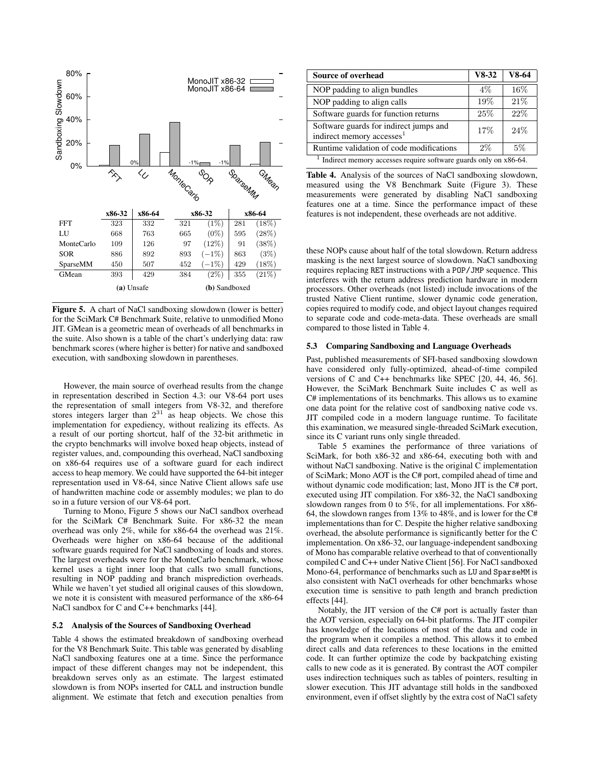

Figure 5. A chart of NaCl sandboxing slowdown (lower is better) for the SciMark C# Benchmark Suite, relative to unmodified Mono JIT. GMean is a geometric mean of overheads of all benchmarks in the suite. Also shown is a table of the chart's underlying data: raw benchmark scores (where higher is better) for native and sandboxed execution, with sandboxing slowdown in parentheses.

However, the main source of overhead results from the change in representation described in Section 4.3: our V8-64 port uses the representation of small integers from V8-32, and therefore stores integers larger than  $2^{31}$  as heap objects. We chose this implementation for expediency, without realizing its effects. As a result of our porting shortcut, half of the 32-bit arithmetic in the crypto benchmarks will involve boxed heap objects, instead of register values, and, compounding this overhead, NaCl sandboxing on x86-64 requires use of a software guard for each indirect access to heap memory. We could have supported the 64-bit integer representation used in V8-64, since Native Client allows safe use of handwritten machine code or assembly modules; we plan to do so in a future version of our V8-64 port.

Turning to Mono, Figure 5 shows our NaCl sandbox overhead for the SciMark C# Benchmark Suite. For x86-32 the mean overhead was only 2%, while for x86-64 the overhead was 21%. Overheads were higher on x86-64 because of the additional software guards required for NaCl sandboxing of loads and stores. The largest overheads were for the MonteCarlo benchmark, whose kernel uses a tight inner loop that calls two small functions, resulting in NOP padding and branch misprediction overheads. While we haven't yet studied all original causes of this slowdown, we note it is consistent with measured performance of the x86-64 NaCl sandbox for C and C++ benchmarks [44].

#### 5.2 Analysis of the Sources of Sandboxing Overhead

Table 4 shows the estimated breakdown of sandboxing overhead for the V8 Benchmark Suite. This table was generated by disabling NaCl sandboxing features one at a time. Since the performance impact of these different changes may not be independent, this breakdown serves only as an estimate. The largest estimated slowdown is from NOPs inserted for CALL and instruction bundle alignment. We estimate that fetch and execution penalties from

| Source of overhead                                                              | $V8-32$ | V8-64 |  |  |
|---------------------------------------------------------------------------------|---------|-------|--|--|
| NOP padding to align bundles                                                    | $4\%$   | 16\%  |  |  |
| NOP padding to align calls                                                      | 19%     | 21%   |  |  |
| Software guards for function returns                                            | 25%     | 22%   |  |  |
| Software guards for indirect jumps and<br>indirect memory accesses <sup>1</sup> | 17%     | 24%   |  |  |
| Runtime validation of code modifications                                        | $2\%$   | 5%    |  |  |
| Indirect memory accesses require software guards only on x86-64.                |         |       |  |  |

Table 4. Analysis of the sources of NaCl sandboxing slowdown, measured using the V8 Benchmark Suite (Figure 3). These measurements were generated by disabling NaCl sandboxing features one at a time. Since the performance impact of these features is not independent, these overheads are not additive.

these NOPs cause about half of the total slowdown. Return address masking is the next largest source of slowdown. NaCl sandboxing requires replacing RET instructions with a POP/JMP sequence. This interferes with the return address prediction hardware in modern processors. Other overheads (not listed) include invocations of the trusted Native Client runtime, slower dynamic code generation, copies required to modify code, and object layout changes required to separate code and code-meta-data. These overheads are small compared to those listed in Table 4.

#### 5.3 Comparing Sandboxing and Language Overheads

Past, published measurements of SFI-based sandboxing slowdown have considered only fully-optimized, ahead-of-time compiled versions of C and C++ benchmarks like SPEC [20, 44, 46, 56]. However, the SciMark Benchmark Suite includes C as well as C# implementations of its benchmarks. This allows us to examine one data point for the relative cost of sandboxing native code vs. JIT compiled code in a modern language runtime. To facilitate this examination, we measured single-threaded SciMark execution, since its C variant runs only single threaded.

Table 5 examines the performance of three variations of SciMark, for both x86-32 and x86-64, executing both with and without NaCl sandboxing. Native is the original C implementation of SciMark; Mono AOT is the C# port, compiled ahead of time and without dynamic code modification; last, Mono JIT is the C# port, executed using JIT compilation. For x86-32, the NaCl sandboxing slowdown ranges from 0 to 5%, for all implementations. For x86- 64, the slowdown ranges from 13% to 48%, and is lower for the C# implementations than for C. Despite the higher relative sandboxing overhead, the absolute performance is significantly better for the C implementation. On x86-32, our language-independent sandboxing of Mono has comparable relative overhead to that of conventionally compiled C and C++ under Native Client [56]. For NaCl sandboxed Mono-64, performance of benchmarks such as LU and SparseMM is also consistent with NaCl overheads for other benchmarks whose execution time is sensitive to path length and branch prediction effects [44].

Notably, the JIT version of the C# port is actually faster than the AOT version, especially on 64-bit platforms. The JIT compiler has knowledge of the locations of most of the data and code in the program when it compiles a method. This allows it to embed direct calls and data references to these locations in the emitted code. It can further optimize the code by backpatching existing calls to new code as it is generated. By contrast the AOT compiler uses indirection techniques such as tables of pointers, resulting in slower execution. This JIT advantage still holds in the sandboxed environment, even if offset slightly by the extra cost of NaCl safety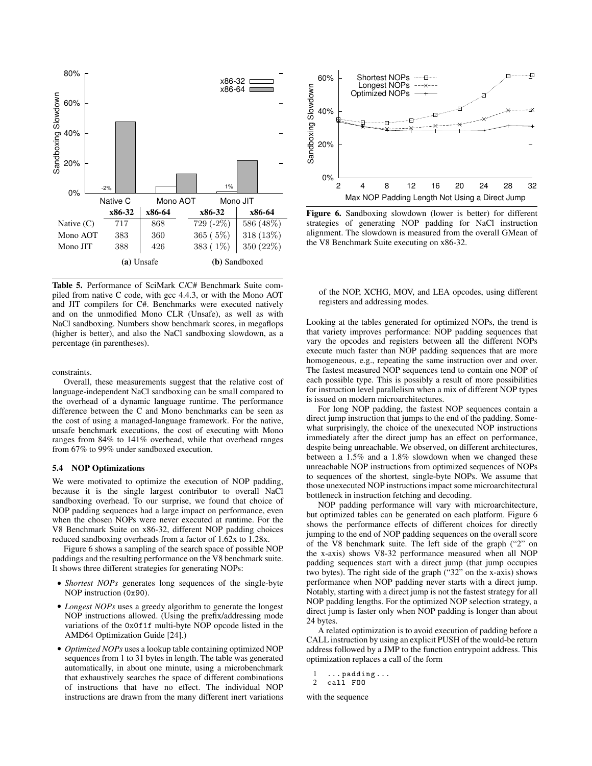

Table 5. Performance of SciMark C/C# Benchmark Suite compiled from native C code, with gcc 4.4.3, or with the Mono AOT and JIT compilers for C#. Benchmarks were executed natively and on the unmodified Mono CLR (Unsafe), as well as with NaCl sandboxing. Numbers show benchmark scores, in megaflops (higher is better), and also the NaCl sandboxing slowdown, as a percentage (in parentheses).

constraints.

Overall, these measurements suggest that the relative cost of language-independent NaCl sandboxing can be small compared to the overhead of a dynamic language runtime. The performance difference between the C and Mono benchmarks can be seen as the cost of using a managed-language framework. For the native, unsafe benchmark executions, the cost of executing with Mono ranges from 84% to 141% overhead, while that overhead ranges from 67% to 99% under sandboxed execution.

## 5.4 NOP Optimizations

We were motivated to optimize the execution of NOP padding, because it is the single largest contributor to overall NaCl sandboxing overhead. To our surprise, we found that choice of NOP padding sequences had a large impact on performance, even when the chosen NOPs were never executed at runtime. For the V8 Benchmark Suite on x86-32, different NOP padding choices reduced sandboxing overheads from a factor of 1.62x to 1.28x.

Figure 6 shows a sampling of the search space of possible NOP paddings and the resulting performance on the V8 benchmark suite. It shows three different strategies for generating NOPs:

- *Shortest NOPs* generates long sequences of the single-byte NOP instruction (0x90).
- *Longest NOPs* uses a greedy algorithm to generate the longest NOP instructions allowed. (Using the prefix/addressing mode variations of the 0x0f1f multi-byte NOP opcode listed in the AMD64 Optimization Guide [24].)
- *Optimized NOPs* uses a lookup table containing optimized NOP sequences from 1 to 31 bytes in length. The table was generated automatically, in about one minute, using a microbenchmark that exhaustively searches the space of different combinations of instructions that have no effect. The individual NOP instructions are drawn from the many different inert variations



Figure 6. Sandboxing slowdown (lower is better) for different strategies of generating NOP padding for NaCl instruction alignment. The slowdown is measured from the overall GMean of the V8 Benchmark Suite executing on x86-32.

of the NOP, XCHG, MOV, and LEA opcodes, using different registers and addressing modes.

Looking at the tables generated for optimized NOPs, the trend is that variety improves performance: NOP padding sequences that vary the opcodes and registers between all the different NOPs execute much faster than NOP padding sequences that are more homogeneous, e.g., repeating the same instruction over and over. The fastest measured NOP sequences tend to contain one NOP of each possible type. This is possibly a result of more possibilities for instruction level parallelism when a mix of different NOP types is issued on modern microarchitectures.

For long NOP padding, the fastest NOP sequences contain a direct jump instruction that jumps to the end of the padding. Somewhat surprisingly, the choice of the unexecuted NOP instructions immediately after the direct jump has an effect on performance, despite being unreachable. We observed, on different architectures, between a 1.5% and a 1.8% slowdown when we changed these unreachable NOP instructions from optimized sequences of NOPs to sequences of the shortest, single-byte NOPs. We assume that those unexecuted NOP instructions impact some microarchitectural bottleneck in instruction fetching and decoding.

NOP padding performance will vary with microarchitecture, but optimized tables can be generated on each platform. Figure 6 shows the performance effects of different choices for directly jumping to the end of NOP padding sequences on the overall score of the V8 benchmark suite. The left side of the graph ("2" on the x-axis) shows V8-32 performance measured when all NOP padding sequences start with a direct jump (that jump occupies two bytes). The right side of the graph ("32" on the x-axis) shows performance when NOP padding never starts with a direct jump. Notably, starting with a direct jump is not the fastest strategy for all NOP padding lengths. For the optimized NOP selection strategy, a direct jump is faster only when NOP padding is longer than about 24 bytes.

A related optimization is to avoid execution of padding before a CALL instruction by using an explicit PUSH of the would-be return address followed by a JMP to the function entrypoint address. This optimization replaces a call of the form

```
1 \dots padding \ldots<br>2 call F00
     call FOO
```
with the sequence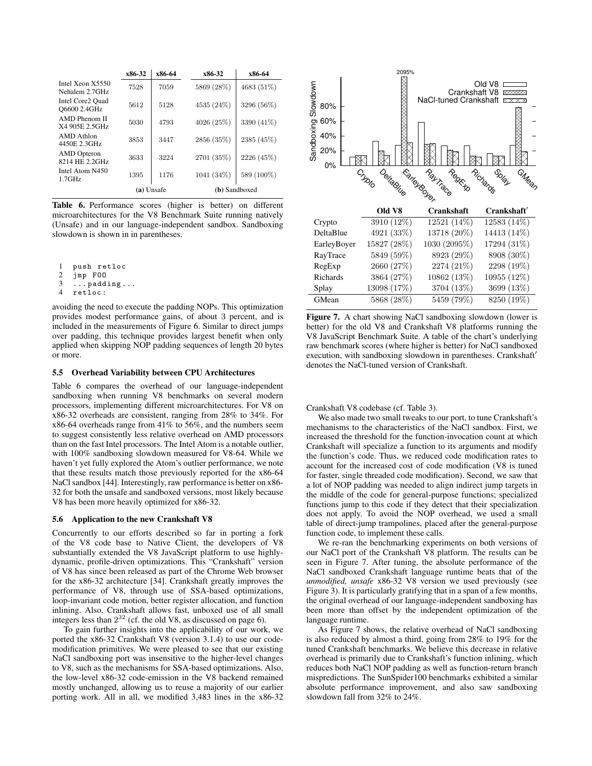|                                      | x86-32     | x86-64 | x86-32        | x86-64     |
|--------------------------------------|------------|--------|---------------|------------|
| Intel Xeon X5550<br>Nehalem 2.7GHz   | 7528       | 7059   | 5869 (28%)    | 4683 (51%) |
| Intel Core2 Quad<br>O6600 2.4GHz     | 5612       | 5128   | 4535 (24%)    | 3296 (56%) |
| AMD Phenom II<br>X4 905E 2.5GHz      | 5030       | 4793   | 4026 (25%)    | 3390 (41%) |
| AMD Athlon<br>4450E 2.3GHz           | 3853       | 3447   | 2856 (35%)    | 2385 (45%) |
| <b>AMD</b> Opteron<br>8214 HE 2.2GHz | 3633       | 3224   | 2701 (35%)    | 2226 (45%) |
| Intel Atom N450<br>$1.7$ GHz         | 1395       | 1176   | 1041 (34%)    | 589 (100%) |
|                                      | (a) Unsafe |        | (b) Sandboxed |            |

Table 6. Performance scores (higher is better) on different microarchitectures for the V8 Benchmark Suite running natively (Unsafe) and in our language-independent sandbox. Sandboxing slowdown is shown in in parentheses.

```
1 push retloc<br>2 imp FOO
2 jmp F00<br>3 ...padd
    ... padding...
4 retloc :
```
avoiding the need to execute the padding NOPs. This optimization provides modest performance gains, of about 3 percent, and is included in the measurements of Figure 6. Similar to direct jumps over padding, this technique provides largest benefit when only applied when skipping NOP padding sequences of length 20 bytes or more.

#### 5.5 Overhead Variability between CPU Architectures

Table 6 compares the overhead of our language-independent sandboxing when running V8 benchmarks on several modern processors, implementing different microarchitectures. For V8 on x86-32 overheads are consistent, ranging from 28% to 34%. For x86-64 overheads range from 41% to 56%, and the numbers seem to suggest consistently less relative overhead on AMD processors than on the fast Intel processors. The Intel Atom is a notable outlier, with 100% sandboxing slowdown measured for V8-64. While we haven't yet fully explored the Atom's outlier performance, we note that these results match those previously reported for the x86-64 NaCl sandbox [44]. Interestingly, raw performance is better on x86- 32 for both the unsafe and sandboxed versions, most likely because V8 has been more heavily optimized for x86-32.

#### 5.6 Application to the new Crankshaft V8

Concurrently to our efforts described so far in porting a fork of the V8 code base to Native Client, the developers of V8 substantially extended the V8 JavaScript platform to use highlydynamic, profile-driven optimizations. This "Crankshaft" version of V8 has since been released as part of the Chrome Web browser for the x86-32 architecture [34]. Crankshaft greatly improves the performance of V8, through use of SSA-based optimizations, loop-invariant code motion, better register allocation, and function inlining. Also, Crankshaft allows fast, unboxed use of all small integers less than  $2^{32}$  (cf. the old V8, as discussed on page 6).

To gain further insights into the applicability of our work, we ported the x86-32 Crankshaft V8 (version 3.1.4) to use our codemodification primitives. We were pleased to see that our existing NaCl sandboxing port was insensitive to the higher-level changes to V8, such as the mechanisms for SSA-based optimizations. Also, the low-level x86-32 code-emission in the V8 backend remained mostly unchanged, allowing us to reuse a majority of our earlier porting work. All in all, we modified 3,483 lines in the x86-32



Figure 7. A chart showing NaCl sandboxing slowdown (lower is better) for the old V8 and Crankshaft V8 platforms running the V8 JavaScript Benchmark Suite. A table of the chart's underlying raw benchmark scores (where higher is better) for NaCl sandboxed execution, with sandboxing slowdown in parentheses. Crankshaft' denotes the NaCl-tuned version of Crankshaft.

Crankshaft V8 codebase (cf. Table 3).

We also made two small tweaks to our port, to tune Crankshaft's mechanisms to the characteristics of the NaCl sandbox. First, we increased the threshold for the function-invocation count at which Crankshaft will specialize a function to its arguments and modify the function's code. Thus, we reduced code modification rates to account for the increased cost of code modification (V8 is tuned for faster, single threaded code modification). Second, we saw that a lot of NOP padding was needed to align indirect jump targets in the middle of the code for general-purpose functions; specialized functions jump to this code if they detect that their specialization does not apply. To avoid the NOP overhead, we used a small table of direct-jump trampolines, placed after the general-purpose function code, to implement these calls.

We re-ran the benchmarking experiments on both versions of our NaCl port of the Crankshaft V8 platform. The results can be seen in Figure 7. After tuning, the absolute performance of the NaCl sandboxed Crankshaft language runtime beats that of the *unmodified, unsafe* x86-32 V8 version we used previously (see Figure 3). It is particularly gratifying that in a span of a few months, the original overhead of our language-independent sandboxing has been more than offset by the independent optimization of the language runtime.

As Figure 7 shows, the relative overhead of NaCl sandboxing is also reduced by almost a third, going from 28% to 19% for the tuned Crankshaft benchmarks. We believe this decrease in relative overhead is primarily due to Crankshaft's function inlining, which reduces both NaCl NOP padding as well as function-return branch mispredictions. The SunSpider100 benchmarks exhibited a similar absolute performance improvement, and also saw sandboxing slowdown fall from 32% to 24%.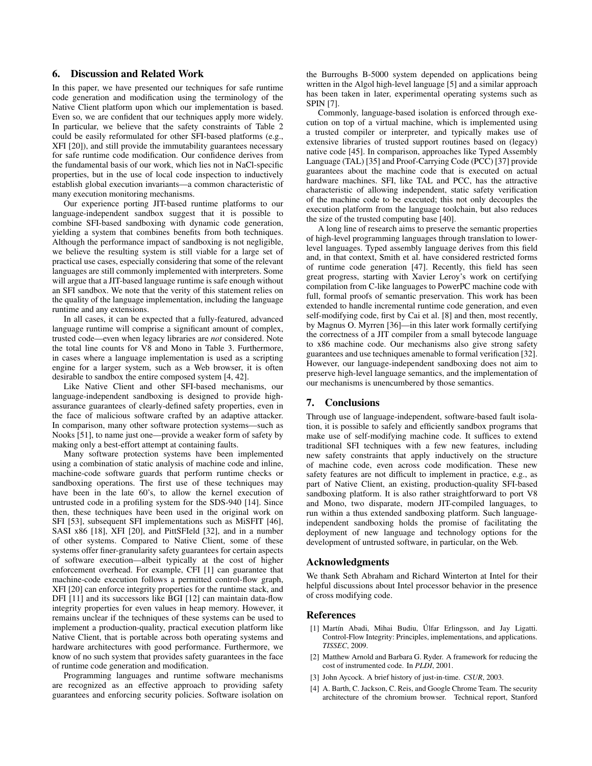# 6. Discussion and Related Work

In this paper, we have presented our techniques for safe runtime code generation and modification using the terminology of the Native Client platform upon which our implementation is based. Even so, we are confident that our techniques apply more widely. In particular, we believe that the safety constraints of Table 2 could be easily reformulated for other SFI-based platforms (e.g., XFI [20]), and still provide the immutability guarantees necessary for safe runtime code modification. Our confidence derives from the fundamental basis of our work, which lies not in NaCl-specific properties, but in the use of local code inspection to inductively establish global execution invariants—a common characteristic of many execution monitoring mechanisms.

Our experience porting JIT-based runtime platforms to our language-independent sandbox suggest that it is possible to combine SFI-based sandboxing with dynamic code generation, yielding a system that combines benefits from both techniques. Although the performance impact of sandboxing is not negligible, we believe the resulting system is still viable for a large set of practical use cases, especially considering that some of the relevant languages are still commonly implemented with interpreters. Some will argue that a JIT-based language runtime is safe enough without an SFI sandbox. We note that the verity of this statement relies on the quality of the language implementation, including the language runtime and any extensions.

In all cases, it can be expected that a fully-featured, advanced language runtime will comprise a significant amount of complex, trusted code—even when legacy libraries are *not* considered. Note the total line counts for V8 and Mono in Table 3. Furthermore, in cases where a language implementation is used as a scripting engine for a larger system, such as a Web browser, it is often desirable to sandbox the entire composed system [4, 42].

Like Native Client and other SFI-based mechanisms, our language-independent sandboxing is designed to provide highassurance guarantees of clearly-defined safety properties, even in the face of malicious software crafted by an adaptive attacker. In comparison, many other software protection systems—such as Nooks [51], to name just one—provide a weaker form of safety by making only a best-effort attempt at containing faults.

Many software protection systems have been implemented using a combination of static analysis of machine code and inline, machine-code software guards that perform runtime checks or sandboxing operations. The first use of these techniques may have been in the late 60's, to allow the kernel execution of untrusted code in a profiling system for the SDS-940 [14]. Since then, these techniques have been used in the original work on SFI [53], subsequent SFI implementations such as MiSFIT [46], SASI x86 [18], XFI [20], and PittSFIeld [32], and in a number of other systems. Compared to Native Client, some of these systems offer finer-granularity safety guarantees for certain aspects of software execution—albeit typically at the cost of higher enforcement overhead. For example, CFI [1] can guarantee that machine-code execution follows a permitted control-flow graph, XFI [20] can enforce integrity properties for the runtime stack, and DFI [11] and its successors like BGI [12] can maintain data-flow integrity properties for even values in heap memory. However, it remains unclear if the techniques of these systems can be used to implement a production-quality, practical execution platform like Native Client, that is portable across both operating systems and hardware architectures with good performance. Furthermore, we know of no such system that provides safety guarantees in the face of runtime code generation and modification.

Programming languages and runtime software mechanisms are recognized as an effective approach to providing safety guarantees and enforcing security policies. Software isolation on the Burroughs B-5000 system depended on applications being written in the Algol high-level language [5] and a similar approach has been taken in later, experimental operating systems such as SPIN [7].

Commonly, language-based isolation is enforced through execution on top of a virtual machine, which is implemented using a trusted compiler or interpreter, and typically makes use of extensive libraries of trusted support routines based on (legacy) native code [45]. In comparison, approaches like Typed Assembly Language (TAL) [35] and Proof-Carrying Code (PCC) [37] provide guarantees about the machine code that is executed on actual hardware machines. SFI, like TAL and PCC, has the attractive characteristic of allowing independent, static safety verification of the machine code to be executed; this not only decouples the execution platform from the language toolchain, but also reduces the size of the trusted computing base [40].

A long line of research aims to preserve the semantic properties of high-level programming languages through translation to lowerlevel languages. Typed assembly language derives from this field and, in that context, Smith et al. have considered restricted forms of runtime code generation [47]. Recently, this field has seen great progress, starting with Xavier Leroy's work on certifying compilation from C-like languages to PowerPC machine code with full, formal proofs of semantic preservation. This work has been extended to handle incremental runtime code generation, and even self-modifying code, first by Cai et al. [8] and then, most recently, by Magnus O. Myrren [36]—in this later work formally certifying the correctness of a JIT compiler from a small bytecode language to x86 machine code. Our mechanisms also give strong safety guarantees and use techniques amenable to formal verification [32]. However, our language-independent sandboxing does not aim to preserve high-level language semantics, and the implementation of our mechanisms is unencumbered by those semantics.

### 7. Conclusions

Through use of language-independent, software-based fault isolation, it is possible to safely and efficiently sandbox programs that make use of self-modifying machine code. It suffices to extend traditional SFI techniques with a few new features, including new safety constraints that apply inductively on the structure of machine code, even across code modification. These new safety features are not difficult to implement in practice, e.g., as part of Native Client, an existing, production-quality SFI-based sandboxing platform. It is also rather straightforward to port V8 and Mono, two disparate, modern JIT-compiled languages, to run within a thus extended sandboxing platform. Such languageindependent sandboxing holds the promise of facilitating the deployment of new language and technology options for the development of untrusted software, in particular, on the Web.

## Acknowledgments

We thank Seth Abraham and Richard Winterton at Intel for their helpful discussions about Intel processor behavior in the presence of cross modifying code.

## References

- [1] Martín Abadi, Mihai Budiu, Úlfar Erlingsson, and Jay Ligatti. Control-Flow Integrity: Principles, implementations, and applications. *TISSEC*, 2009.
- [2] Matthew Arnold and Barbara G. Ryder. A framework for reducing the cost of instrumented code. In *PLDI*, 2001.
- [3] John Aycock. A brief history of just-in-time. *CSUR*, 2003.
- [4] A. Barth, C. Jackson, C. Reis, and Google Chrome Team. The security architecture of the chromium browser. Technical report, Stanford